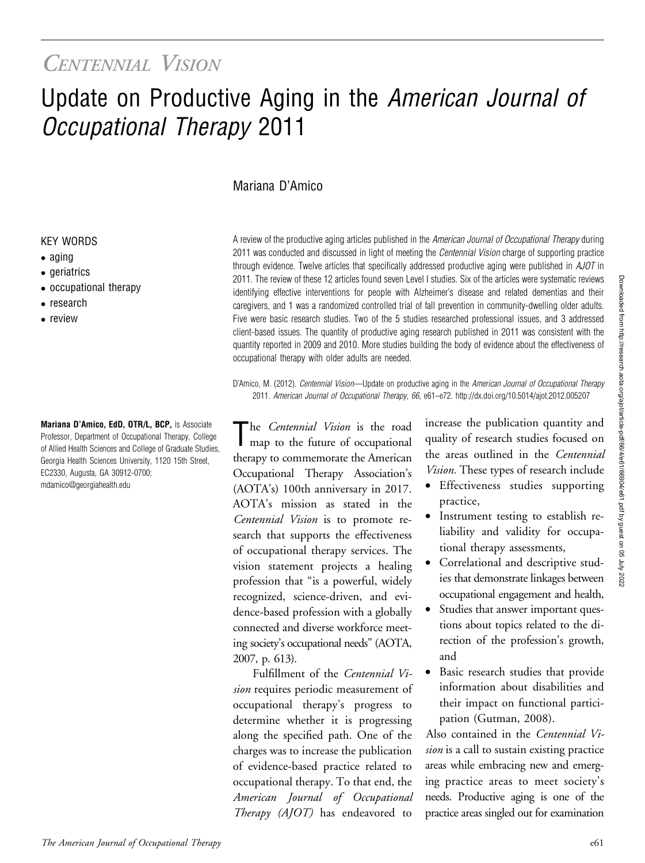## CENTENNIAL VISION

# Update on Productive Aging in the American Journal of Occupational Therapy 2011

#### Mariana D'Amico

#### KEY WORDS

- aging
- geriatrics
- occupational therapy
- research
- $\bullet$  review

Mariana D'Amico, EdD, OTR/L, BCP, is Associate Professor, Department of Occupational Therapy, College of Allied Health Sciences and College of Graduate Studies, Georgia Health Sciences University, 1120 15th Street, EC2330, Augusta, GA 30912-0700; [mdamico@georgiahealth.edu](mailto:mdamico@georgiahealth.edu)

A review of the productive aging articles published in the American Journal of Occupational Therapy during 2011 was conducted and discussed in light of meeting the *Centennial Vision* charge of supporting practice through evidence. Twelve articles that specifically addressed productive aging were published in AJOT in 2011. The review of these 12 articles found seven Level I studies. Six of the articles were systematic reviews identifying effective interventions for people with Alzheimer's disease and related dementias and their caregivers, and 1 was a randomized controlled trial of fall prevention in community-dwelling older adults. Five were basic research studies. Two of the 5 studies researched professional issues, and 3 addressed client-based issues. The quantity of productive aging research published in 2011 was consistent with the quantity reported in 2009 and 2010. More studies building the body of evidence about the effectiveness of occupational therapy with older adults are needed.

D'Amico, M. (2012). Centennial Vision—Update on productive aging in the American Journal of Occupational Therapy 2011. American Journal of Occupational Therapy, 66, e61–e72. http://dx.doi.org/10.5014/ajot.2012.005207

The Centennial Vision is the road map to the future of occupational therapy to commemorate the American Occupational Therapy Association's (AOTA's) 100th anniversary in 2017. AOTA's mission as stated in the Centennial Vision is to promote research that supports the effectiveness of occupational therapy services. The vision statement projects a healing profession that "is a powerful, widely recognized, science-driven, and evidence-based profession with a globally connected and diverse workforce meeting society's occupational needs" (AOTA, 2007, p. 613).

Fulfillment of the Centennial Vision requires periodic measurement of occupational therapy's progress to determine whether it is progressing along the specified path. One of the charges was to increase the publication of evidence-based practice related to occupational therapy. To that end, the Therapy (AJOT) has endeavored to

increase the publication quantity and quality of research studies focused on the areas outlined in the Centennial Vision. These types of research include

- Effectiveness studies supporting practice,
- Instrument testing to establish reliability and validity for occupational therapy assessments,
- Correlational and descriptive studies that demonstrate linkages between occupational engagement and health,
- Studies that answer important questions about topics related to the direction of the profession's growth, and
- Basic research studies that provide information about disabilities and their impact on functional participation (Gutman, 2008).

Also contained in the Centennial Vision is a call to sustain existing practice areas while embracing new and emerging practice areas to meet society's needs. Productive aging is one of the practice areas singled out for examination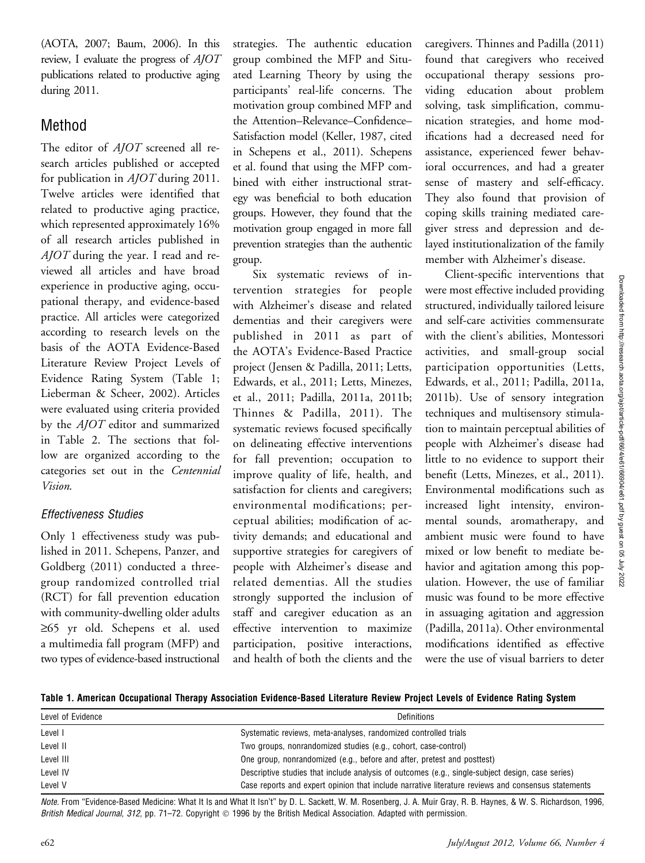(AOTA, 2007; Baum, 2006). In this review, I evaluate the progress of AJOT publications related to productive aging during 2011.

### Method

The editor of  $A$ *JOT* screened all research articles published or accepted for publication in AJOT during 2011. Twelve articles were identified that related to productive aging practice, which represented approximately 16% of all research articles published in  $A$ *JOT* during the year. I read and reviewed all articles and have broad experience in productive aging, occupational therapy, and evidence-based practice. All articles were categorized according to research levels on the basis of the AOTA Evidence-Based Literature Review Project Levels of Evidence Rating System (Table 1; Lieberman & Scheer, 2002). Articles were evaluated using criteria provided by the AJOT editor and summarized in Table 2. The sections that follow are organized according to the categories set out in the Centennial Vision.

#### Effectiveness Studies

Only 1 effectiveness study was published in 2011. Schepens, Panzer, and Goldberg (2011) conducted a threegroup randomized controlled trial (RCT) for fall prevention education with community-dwelling older adults  $\geq 65$  yr old. Schepens et al. used a multimedia fall program (MFP) and two types of evidence-based instructional strategies. The authentic education group combined the MFP and Situated Learning Theory by using the participants' real-life concerns. The motivation group combined MFP and the Attention–Relevance–Confidence– Satisfaction model (Keller, 1987, cited in Schepens et al., 2011). Schepens et al. found that using the MFP combined with either instructional strategy was beneficial to both education groups. However, they found that the motivation group engaged in more fall prevention strategies than the authentic group.

Six systematic reviews of intervention strategies for people with Alzheimer's disease and related dementias and their caregivers were published in 2011 as part of the AOTA's Evidence-Based Practice project (Jensen & Padilla, 2011; Letts, Edwards, et al., 2011; Letts, Minezes, et al., 2011; Padilla, 2011a, 2011b; Thinnes & Padilla, 2011). The systematic reviews focused specifically on delineating effective interventions for fall prevention; occupation to improve quality of life, health, and satisfaction for clients and caregivers; environmental modifications; perceptual abilities; modification of activity demands; and educational and supportive strategies for caregivers of people with Alzheimer's disease and related dementias. All the studies strongly supported the inclusion of staff and caregiver education as an effective intervention to maximize participation, positive interactions, and health of both the clients and the

caregivers. Thinnes and Padilla (2011) found that caregivers who received occupational therapy sessions providing education about problem solving, task simplification, communication strategies, and home modifications had a decreased need for assistance, experienced fewer behavioral occurrences, and had a greater sense of mastery and self-efficacy. They also found that provision of coping skills training mediated caregiver stress and depression and delayed institutionalization of the family member with Alzheimer's disease.

Client-specific interventions that were most effective included providing structured, individually tailored leisure and self-care activities commensurate with the client's abilities, Montessori activities, and small-group social participation opportunities (Letts, Edwards, et al., 2011; Padilla, 2011a, 2011b). Use of sensory integration techniques and multisensory stimulation to maintain perceptual abilities of people with Alzheimer's disease had little to no evidence to support their benefit (Letts, Minezes, et al., 2011). Environmental modifications such as increased light intensity, environmental sounds, aromatherapy, and ambient music were found to have mixed or low benefit to mediate behavior and agitation among this population. However, the use of familiar music was found to be more effective in assuaging agitation and aggression (Padilla, 2011a). Other environmental modifications identified as effective were the use of visual barriers to deter

Table 1. American Occupational Therapy Association Evidence-Based Literature Review Project Levels of Evidence Rating System

| Level of Evidence | <b>Definitions</b>                                                                                 |
|-------------------|----------------------------------------------------------------------------------------------------|
| Level I           | Systematic reviews, meta-analyses, randomized controlled trials                                    |
| Level II          | Two groups, nonrandomized studies (e.g., cohort, case-control)                                     |
| Level III         | One group, nonrandomized (e.g., before and after, pretest and posttest)                            |
| Level IV          | Descriptive studies that include analysis of outcomes (e.g., single-subject design, case series)   |
| Level V           | Case reports and expert opinion that include narrative literature reviews and consensus statements |

Note. From "Evidence-Based Medicine: What It Is and What It Isn't" by D. L. Sackett, W. M. Rosenberg, J. A. Muir Gray, R. B. Haynes, & W. S. Richardson, 1996, British Medical Journal, 312, pp. 71–72. Copyright © 1996 by the British Medical Association. Adapted with permission.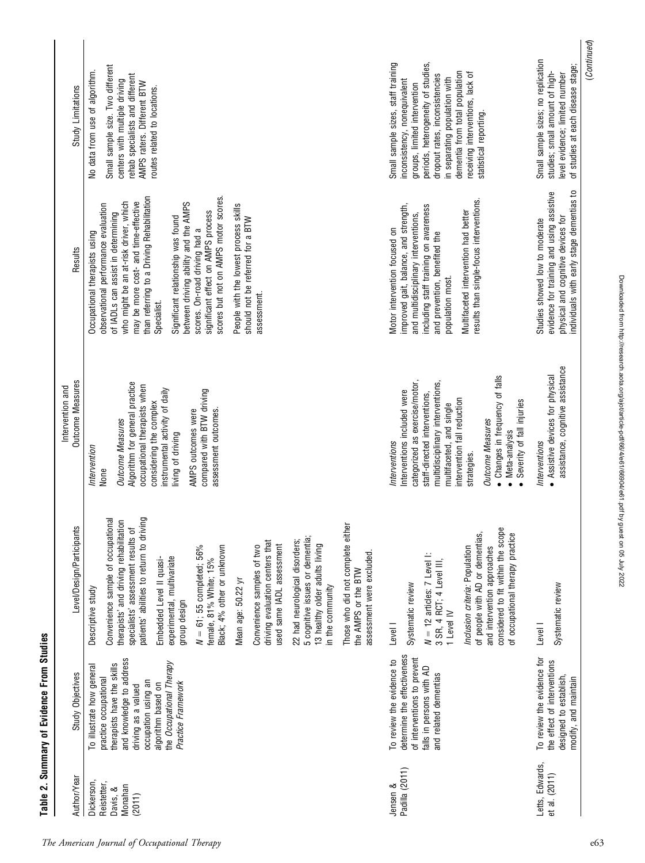| Study Limitations                           | Small sample size. Two different<br>No data from use of algorithm.<br>rehab specialists and different<br>centers with multiple driving<br>AMPS raters. Different BTW<br>routes related to locations.                                                                                                                                                                                                                                                                                                                                               |                                                                                                                                                                                                                  | periods, heterogeneity of studies,<br>Small sample sizes, staff training<br>dementia from total population<br>receiving interventions, lack of<br>dropout rates, inconsistencies<br>in separating population with<br>inconsistency, nonequivalent<br>groups, limited intervention<br>statistical reporting.                               | (Continued)<br>Small sample sizes; no replication<br>of studies at each disease stage;<br>studies; small amount of high-<br>level evidence; limited number     |
|---------------------------------------------|----------------------------------------------------------------------------------------------------------------------------------------------------------------------------------------------------------------------------------------------------------------------------------------------------------------------------------------------------------------------------------------------------------------------------------------------------------------------------------------------------------------------------------------------------|------------------------------------------------------------------------------------------------------------------------------------------------------------------------------------------------------------------|-------------------------------------------------------------------------------------------------------------------------------------------------------------------------------------------------------------------------------------------------------------------------------------------------------------------------------------------|----------------------------------------------------------------------------------------------------------------------------------------------------------------|
| Results                                     | than referring to a Driving Rehabilitation<br>scores but not on AMPS motor scores.<br>who might be an at-risk driver, which<br>may be more cost- and time-effective<br>between driving ability and the AMPS<br>observational performance evaluation<br>People with the lowest process skills<br>significant effect on AMPS process<br>of IADLs can assist in determining<br>Significant relationship was found<br>should not be referred for a BTW<br>scores. On-road driving had a<br>Occupational therapists using<br>assessment.<br>Specialist. |                                                                                                                                                                                                                  | results than single-focus interventions.<br>improved gait, balance, and strength,<br>including staff training on awareness<br>Multifaceted intervention had better<br>and multidisciplinary interventions,<br>Motor intervention focused on<br>and prevention, benefited the<br>population most.                                          | individuals with early stage dementias to<br>evidence for training and using assistive<br>physical and cognitive devices for<br>Studies showed low to moderate |
| <b>Outcome Measures</b><br>Intervention and | Algorithm for general practice<br>occupational therapists when<br>instrumental activity of daily<br>compared with BTW driving<br>considering the complex<br>AMPS outcomes were<br>assessment outcomes.<br><b>Outcome Measures</b><br>living of driving<br>Intervention<br>None                                                                                                                                                                                                                                                                     |                                                                                                                                                                                                                  | • Changes in frequency of falls<br>categorized as exercise/motor,<br>multidisciplinary interventions,<br>Interventions included were<br>staff-directed interventions,<br>intervention fall reduction<br>Severity of fall injuries<br>multifaceted, and single<br><b>Outcome Measures</b><br>Meta-analysis<br>Interventions<br>strategies. | assistance, cognitive assistance<br>• Assistive devices for physical<br>Interventions                                                                          |
| Level/Design/Participants                   | patients' abilities to return to driving<br>Convenience sample of occupational<br>therapists' and driving rehabilitation<br>specialists' assessment results of<br>driving evaluation centers that<br>used same IADL assessment<br>$N = 61$ ; 55 completed; 56%<br>Black; 4% other or unknown<br>Convenience samples of two<br>experimental, multivariate<br>Embedded Level II quasi-<br>female, 81% White; 15%<br>Mean age: 50.22 yr<br>Descriptive study<br>group design                                                                          | Those who did not complete either<br>5 cognitive issues or dementia;<br>22 had neurological disorders;<br>13 healthy older adults living<br>assessment were excluded.<br>the AMPS or the BTW<br>in the community | considered to fit within the scope<br>of people with AD or dementias,<br>of occupational therapy practice<br>Inclusion criteria: Population<br>and intervention approaches<br>$N = 12$ articles: 7 Level I:<br>3 SR, 4 RCT; 4 Level III,<br>Systematic review<br>1 Level IV<br>Level                                                      | Systematic review<br>Level I                                                                                                                                   |
| Study Objectives                            | and knowledge to address<br>the Occupational Therapy<br>therapists have the skills<br>To illustrate how general<br>practice occupational<br>occupation using an<br>Practice Framework<br>algorithm based on<br>driving as a valued                                                                                                                                                                                                                                                                                                                 |                                                                                                                                                                                                                  | determine the effectiveness<br>of interventions to prevent<br>To review the evidence to<br>falls in persons with AD<br>and related dementias                                                                                                                                                                                              | To review the evidence for<br>the effect of interventions<br>designed to establish,<br>modify, and maintain                                                    |
| Author/Year                                 | Reistetter,<br><b>Dickerson</b><br>Monahan<br>Davis, &<br>(2011)                                                                                                                                                                                                                                                                                                                                                                                                                                                                                   |                                                                                                                                                                                                                  | Padilla (2011)<br>Jensen &                                                                                                                                                                                                                                                                                                                | Letts, Edwards,<br>et al. (2011)                                                                                                                               |

#### The American Journal of Occupational Therapy e63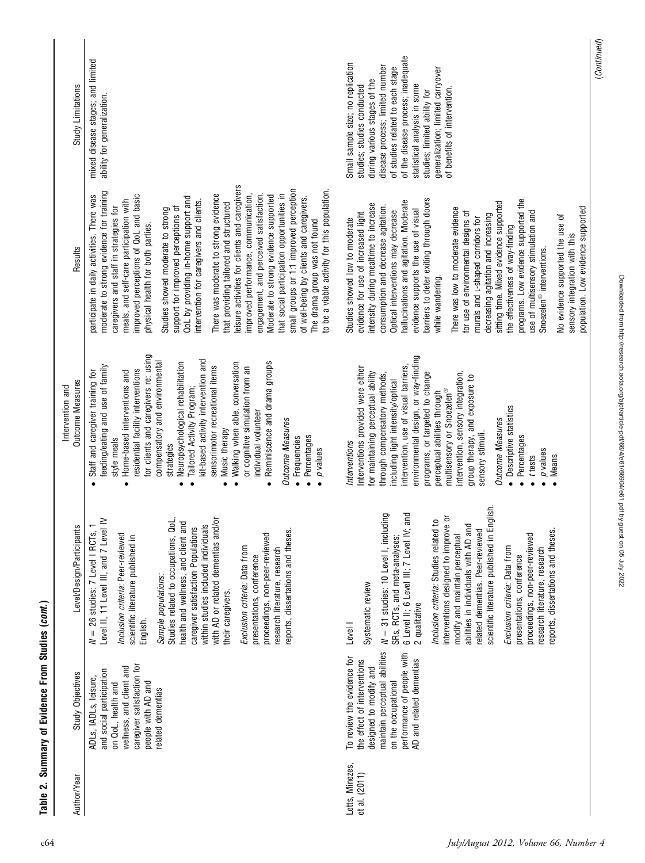| Study Limitations                    | mixed disease stages; and limited<br>ability for generalization.                                                                                                                                                                                                                                                                                                                                                                                                                                                                                                                                                                                                                                                                                                                                                                                                                                             | of the disease process; inadequate<br>Small sample size; no replication<br>disease process; limited number<br>generalization; limited carryover<br>of studies related to each stage<br>during various stages of the<br>statistical analysis in some<br>studies; studies conducted<br>of benefits of intervention.<br>studies; limited ability for                                                                                                                                                                                                                                                                                                                                                                                                                                                                     | (Continued) |
|--------------------------------------|--------------------------------------------------------------------------------------------------------------------------------------------------------------------------------------------------------------------------------------------------------------------------------------------------------------------------------------------------------------------------------------------------------------------------------------------------------------------------------------------------------------------------------------------------------------------------------------------------------------------------------------------------------------------------------------------------------------------------------------------------------------------------------------------------------------------------------------------------------------------------------------------------------------|-----------------------------------------------------------------------------------------------------------------------------------------------------------------------------------------------------------------------------------------------------------------------------------------------------------------------------------------------------------------------------------------------------------------------------------------------------------------------------------------------------------------------------------------------------------------------------------------------------------------------------------------------------------------------------------------------------------------------------------------------------------------------------------------------------------------------|-------------|
| Results                              | eisure activities for clients and caregivers<br>small groups or 1:1 improved perception<br>to be a viable activity for this population<br>moderate to strong evidence for training<br>There was moderate to strong evidence<br>that social participation opportunities in<br>mproved perceptions of QoL and basic<br>improved performance, communication,<br>engagement, and perceived satisfaction.<br>participate in daily activities. There was<br>Moderate to strong evidence supported<br>QoL by providing in-home support and<br>of well-being by clients and caregivers.<br>meals, and self-care participation with<br>intervention for caregivers and clients.<br>that providing tailored and structured<br>caregivers and staff in strategies for<br>support for improved perceptions of<br>Studies showed moderate to strong<br>The drama group was not found<br>physical health for both parties. | barriers to deter exiting through doors<br>programs. Low evidence supported the<br>hallucinations and agitation. Moderate<br>sitting time. Mixed evidence supported<br>intensity during mealtime to increase<br>consumption and decrease agitation.<br>population. Low evidence supported<br>evidence supports the use of visual<br>There was low to moderate evidence<br>Optical interventions may decrease<br>for use of environmental designs of<br>use of multisensory stimulation and<br>evidence for use of increased light<br>decreasing agitation and increasing<br>No evidence supported the use of<br>murals and L-shaped corridors for<br>Studies showed low to moderate<br>the effectiveness of way-finding<br>sensory integration with this<br>Snoezelen <sup>®</sup> interventions.<br>while wandering. |             |
| Outcome Measures<br>Intervention and | for clients and caregivers re: using<br>kit-based activity intervention and<br>compensatory and environmental<br>Neuropsychological rehabilitation<br>Reminiscence and drama groups<br>Walking when able, conversation<br>feeding/eating and use of family<br>sensorimotor recreational items<br>or cognitive simulation from an<br>residential facility interventions<br>Staff and caregiver training for<br>Home-based interventions and<br>Tailored Activity Program;<br>individual volunteer<br><b>Outcome Measures</b><br>Music therapy<br>Percentages<br>• Frequencies<br>style meals<br>strategies<br>p values<br>$\bullet$<br>$\bullet$<br>$\bullet$<br>$\bullet$<br>$\bullet$<br>$\bullet$                                                                                                                                                                                                          | environmental design, or way-finding<br>intervention, use of visual barriers,<br>Interventions provided were either<br>for maintaining perceptual ability<br>programs, or targeted to change<br>intervention, sensory integration,<br>through compensatory methods,<br>group therapy, and exposure to<br>including light intensity/optical<br>multisensory or Snoezelen®<br>perceptual abilities through<br>• Descriptive statistics<br><b>Outcome Measures</b><br>sensory stimuli.<br>Percentages<br>Interventions<br>p values<br>Means<br>t tests                                                                                                                                                                                                                                                                   |             |
| Level/Design/Participants            | $\overline{\mathsf{S}}$<br>$\geq$<br>Studies related to occupations, QoL,<br>health and wellness, and client and<br>within studies included individuals<br>Level II, 11 Level III, and 7 Level<br>caregiver satisfaction Populations<br>with AD or related dementias and<br>reports, dissertations and theses.<br>$N = 26$ studies: 7 Level I RCTs,<br>Inclusion criteria: Peer-reviewed<br>proceedings, non-peer-reviewed<br>scientific literature published in<br>Exclusion criteria: Data from<br>research literature, research<br>presentations, conference<br>Sample populations:<br>their caregivers.<br>English.                                                                                                                                                                                                                                                                                      | scientific literature published in English.<br>and<br>$N = 31$ studies: 10 Level I, including<br>interventions designed to improve or<br>$\epsilon$<br>abilities in individuals with AD and<br>related dementias. Peer-reviewed<br>reports, dissertations and theses.<br>6 Level II; 6 Level III; 7 Level IV;<br>Inclusion criteria: Studies related<br>modify and maintain perceptual<br>proceedings, non-peer-reviewed<br>SRs, RCTs, and meta-analyses;<br>Exclusion criteria: Data from<br>research literature, research<br>presentations, conference<br>Systematic review<br>2 qualitative<br>Level I                                                                                                                                                                                                             |             |
| Study Objectives                     | caregiver satisfaction for<br>wellness, and client and<br>and social participation<br>ADLS, IADLS, leisure,<br>people with AD and<br>on QoL, health and<br>related dementias                                                                                                                                                                                                                                                                                                                                                                                                                                                                                                                                                                                                                                                                                                                                 | maintain perceptual abilities<br>performance of people with<br>To review the evidence for<br>AD and related dementias<br>the effect of interventions<br>designed to modify and<br>on the occupational                                                                                                                                                                                                                                                                                                                                                                                                                                                                                                                                                                                                                 |             |
| Author/Year                          |                                                                                                                                                                                                                                                                                                                                                                                                                                                                                                                                                                                                                                                                                                                                                                                                                                                                                                              | Letts, Minezes,<br>et al. (2011)                                                                                                                                                                                                                                                                                                                                                                                                                                                                                                                                                                                                                                                                                                                                                                                      |             |

e64 July/August 2012, Volume 66, Number 4

Downloaded from http://research.aota.org/ajot/article-pdf/66/4/e61/66904/e61.pdf by guest on 05 July 2022

Downloaded from http://research.aota.org/ajot/article-pdf/66/4/e61/66904/e61.pdf by guest on 05 July 2022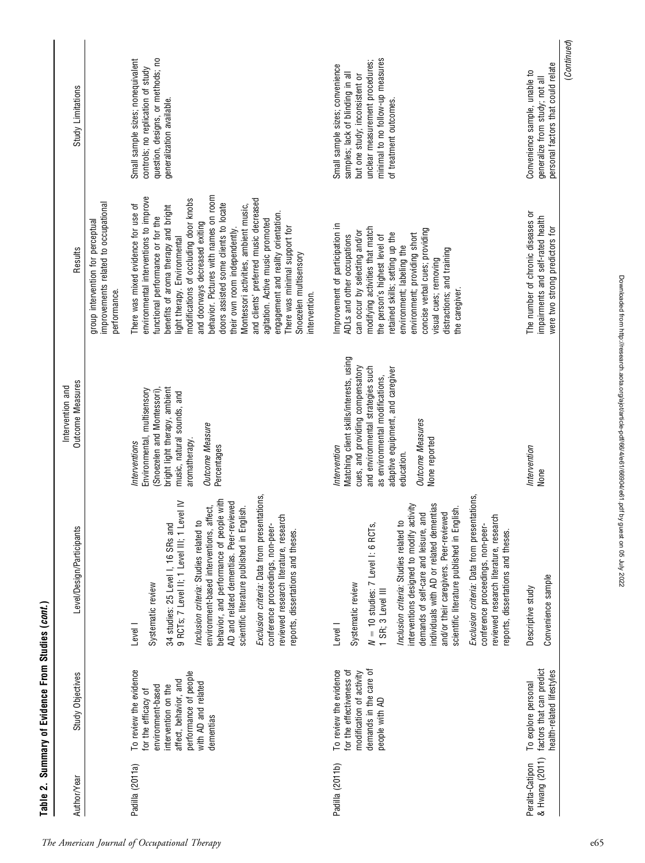| Exclusion criteria: Data from presentations,<br>behavior, and performance of people with<br>9 RCTs; 7 Level II; 1 Level III; 1 Level IV<br>AD and related dementias. Peer-reviewed<br>scientific literature published in English.<br>reviewed research literature, research<br>Inclusion criteria: Studies related to<br>34 studies: 25 Level I, 16 SRs and<br>conference proceedings, non-peer-<br>environment-based interventions,<br>reports, dissertations and theses.<br>Systematic review<br>Level I<br>To review the evidence<br>performance of people<br>affect, behavior, and<br>with AD and related<br>intervention on the<br>environment-based<br>for the efficacy of<br>dementias<br>Padilla (2011a) | (Snoezelen and Montessori),<br>Environmental, multisensory<br>Interventions                                                                                                                                                                                              | group intervention for perceptual                                                                                                                                                                                                                                                                                                                                                                                                                                                                                                                                                                                                 |                                                                                                                                                                                                        |
|------------------------------------------------------------------------------------------------------------------------------------------------------------------------------------------------------------------------------------------------------------------------------------------------------------------------------------------------------------------------------------------------------------------------------------------------------------------------------------------------------------------------------------------------------------------------------------------------------------------------------------------------------------------------------------------------------------------|--------------------------------------------------------------------------------------------------------------------------------------------------------------------------------------------------------------------------------------------------------------------------|-----------------------------------------------------------------------------------------------------------------------------------------------------------------------------------------------------------------------------------------------------------------------------------------------------------------------------------------------------------------------------------------------------------------------------------------------------------------------------------------------------------------------------------------------------------------------------------------------------------------------------------|--------------------------------------------------------------------------------------------------------------------------------------------------------------------------------------------------------|
|                                                                                                                                                                                                                                                                                                                                                                                                                                                                                                                                                                                                                                                                                                                  |                                                                                                                                                                                                                                                                          | improvements related to occupational<br>performance.                                                                                                                                                                                                                                                                                                                                                                                                                                                                                                                                                                              |                                                                                                                                                                                                        |
|                                                                                                                                                                                                                                                                                                                                                                                                                                                                                                                                                                                                                                                                                                                  | bright light therapy, ambient<br>music, natural sounds, and<br><b>Outcome Measure</b><br>aromatherapy.<br>Percentages<br>, affect,                                                                                                                                       | behavior. Pictures with names on room<br>environmental interventions to improve<br>modifications of occluding door knobs<br>and clients' preferred music decreased<br>doors assisted some clients to locate<br>Montessori activities, ambient music,<br>There was mixed evidence for use of<br>benefits of aroma therapy and bright<br>engagement and reality orientation<br>functional performance or for the<br>agitation. Active music promoted<br>and doorways decreased exiting<br>There was minimal support for<br>their own room independently.<br>light therapy. Environmental<br>Snoezelen multisensory<br>intervention. | question, designs, or methods; no<br>Small sample sizes; nonequivalent<br>controls; no replication of study<br>generalization available.                                                               |
| Exclusion criteria: Data from presentations,<br>individuals with AD or related dementias<br>interventions designed to modify activity<br>scientific literature published in English.<br>demands of self-care and leisure, and<br>and/or their caregivers. Peer-reviewed<br>reviewed research literature, research<br>Inclusion criteria: Studies related to<br>conference proceedings, non-peer-<br>$N = 10$ studies: 7 Level I: 6 RCT<br>reports, dissertations and theses.<br>Systematic review<br>1 SR; 3 Level III<br>Level  <br>demands in the care of<br>To review the evidence<br>for the effectiveness of<br>modification of activity<br>people with AD                                                  | Matching client skills/interests, using<br>cues, and providing compensatory<br>and environmental strategies such<br>adaptive equipment, and caregiver<br>as environmental modifications,<br><b>Outcome Measures</b><br>None reported<br>Intervention<br>education.<br>က် | Improvement of participation in<br>modifying activities that match<br>concise verbal cues; providing<br>can occur by selecting and/or<br>retained skills; setting up the<br>environment; providing short<br>ADLs and other occupations<br>the person's highest level of<br>environment; labeling the<br>distractions; and training<br>visual cues; removing<br>the caregiver.                                                                                                                                                                                                                                                     | minimal to no follow-up measures<br>unclear measurement procedures;<br>Small sample sizes; convenience<br>samples; lack of blinding in all<br>but one study; inconsistent or<br>of treatment outcomes. |
| Convenience sample<br>Descriptive study<br>factors that can predict<br>health-related lifestyles<br>To explore personal<br>Peralta-Catipon<br>& Hwang (2011)                                                                                                                                                                                                                                                                                                                                                                                                                                                                                                                                                     | Intervention<br>None                                                                                                                                                                                                                                                     | The number of chronic diseases or<br>impairments and self-rated health<br>were two strong predictors for                                                                                                                                                                                                                                                                                                                                                                                                                                                                                                                          | personal factors that could relate<br>Convenience sample, unable to<br>generalize from study; not all                                                                                                  |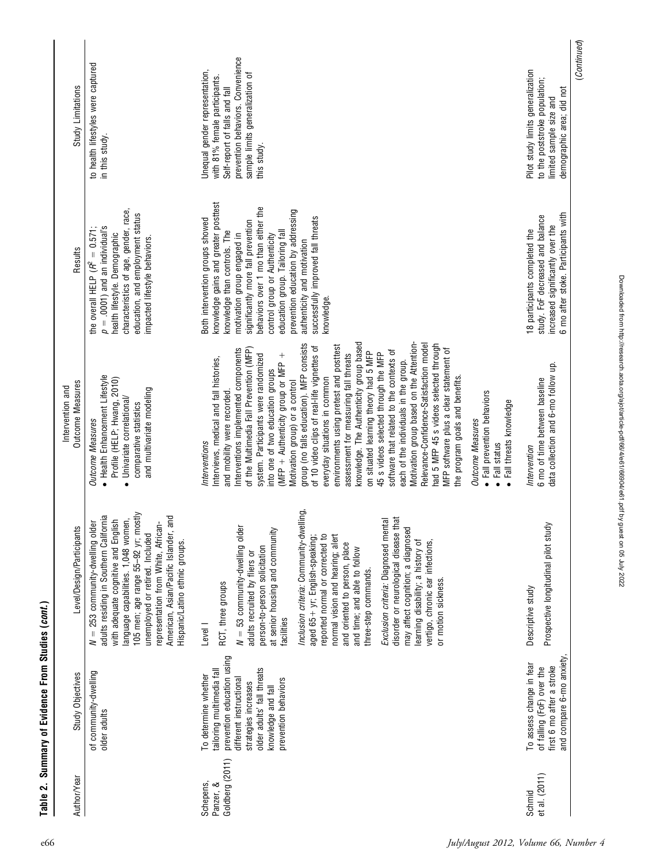| Author/Year                               | Study Objectives                                                                                                                                                                                               | Level/Design/Participants                                                                                                                                                                                                                                                                                                                                                                                                                                                                                                                                                                                                                                       | <b>Outcome Measures</b><br>Intervention and                                                                                                                                                                                                                                                                                                                                                                                                                                                                                                                                                                                                                                                                                                                                                                                                                                                                                                                                                                                                                                      | Results                                                                                                                                                                                                                                                                                                                                                                                                          | Study Limitations                                                                                                                                                                       |
|-------------------------------------------|----------------------------------------------------------------------------------------------------------------------------------------------------------------------------------------------------------------|-----------------------------------------------------------------------------------------------------------------------------------------------------------------------------------------------------------------------------------------------------------------------------------------------------------------------------------------------------------------------------------------------------------------------------------------------------------------------------------------------------------------------------------------------------------------------------------------------------------------------------------------------------------------|----------------------------------------------------------------------------------------------------------------------------------------------------------------------------------------------------------------------------------------------------------------------------------------------------------------------------------------------------------------------------------------------------------------------------------------------------------------------------------------------------------------------------------------------------------------------------------------------------------------------------------------------------------------------------------------------------------------------------------------------------------------------------------------------------------------------------------------------------------------------------------------------------------------------------------------------------------------------------------------------------------------------------------------------------------------------------------|------------------------------------------------------------------------------------------------------------------------------------------------------------------------------------------------------------------------------------------------------------------------------------------------------------------------------------------------------------------------------------------------------------------|-----------------------------------------------------------------------------------------------------------------------------------------------------------------------------------------|
|                                           | of community-dwelling<br>older adults                                                                                                                                                                          | 105 men; age range 55-92 yr; mostly<br>adults residing in Southern California<br>American, Asian/Pacific Islander, and<br>language capabilities. 1,048 women,<br>with adequate cognitive and English<br>$N = 253$ community-dwelling older<br>representation from White, African-<br>unemployed or retired. Included<br>Hispanic/Latino ethnic groups.                                                                                                                                                                                                                                                                                                          | · Health Enhancement Lifestyle<br>Profile (HELP; Hwang, 2010)<br>and multivariate modeling<br>Univariate correlational/<br>comparative statistics<br><b>Outcome Measures</b><br>$\bullet$                                                                                                                                                                                                                                                                                                                                                                                                                                                                                                                                                                                                                                                                                                                                                                                                                                                                                        | characteristics of age, gender, race,<br>education, and employment status<br>$p = .0001$ ) and an individual's<br>the overall HELP $(R^2 = 0.571;$<br>health lifestyle. Demographic<br>impacted lifestyle behaviors.                                                                                                                                                                                             | to health lifestyles were captured<br>in this study.                                                                                                                                    |
| Goldberg (2011)<br>Schepens,<br>Panzer, & | prevention education using<br>older adults' fall threats<br>tailoring multimedia fall<br>To determine whether<br>different instructional<br>prevention behaviors<br>strategies increases<br>knowledge and fall | Inclusion criteria: Community-dwelling,<br>that<br>Exclusion criteria: Diagnosed mental<br>$N = 53$ community-dwelling older<br>ਦੁ<br>at senior housing and community<br>aged 65+ yr; English-speaking;<br>reported normal or corrected to<br>normal vision and hearing; alert<br>disorder or neurological disease<br>may affect cognition; a diagnose<br>learning disability; a history of<br>vertigo, chronic ear infections,<br>and oriented to person, place<br>person-to-person solicitation<br>and time; and able to follow<br>adults recruited by fliers or<br>three-step commands.<br>or motion sickness.<br>RCT, three groups<br>facilities<br>Level I | knowledge. The Authenticity group based<br>Motivation group based on the Attention-<br>group (no falls education). MFP consists<br>Relevance-Confidence-Satisfaction model<br>had 5 MFP 45 s videos selected through<br>environments using pretest and posttest<br>of 10 video clips of real-life vignettes of<br>of the Multimedia Fall Prevention (MFP)<br>nterventions implemented components<br>MFP software plus a clear statement of<br>software that related to the contexts of<br>on situated learning theory had 5 MFP<br>assessment for measuring fall threats<br>45 s videos selected through the MFP<br>system. Participants were randomized<br>(MFP + Authenticity group or MFP +<br>Interviews, medical and fall histories,<br>each of the individuals in the group.<br>into one of two education groups<br>the program goals and benefits.<br>everyday situations in common<br>Motivation group) or a control<br>• Fall prevention behaviors<br>and mobility were recorded<br>· Fall threats knowledge<br><b>Outcome Measures</b><br>Interventions<br>Fall status | knowledge gains and greater posttest<br>behaviors over 1 mo than either the<br>prevention education by addressing<br>successfully improved fall threats<br>Both intervention groups showed<br>significantly more fall prevention<br>education group. Tailoring fall<br>knowledge than controls. The<br>motivation group engaged in<br>control group or Authenticity<br>authenticity and motivation<br>knowledge. | prevention behaviors. Convenience<br>Unequal gender representation,<br>sample limits generalization of<br>with 81% female participants.<br>Self-report of falls and fall<br>this study. |
| et al. (2011)<br>Schmid                   | and compare 6-mo anxiety,<br>To assess change in fear<br>first 6 mo after a stroke<br>of falling (FoF) over the                                                                                                | Prospective longitudinal pilot study<br>Descriptive study                                                                                                                                                                                                                                                                                                                                                                                                                                                                                                                                                                                                       | data collection and 6-mo follow up.<br>6 mo of time between baseline<br>Intervention                                                                                                                                                                                                                                                                                                                                                                                                                                                                                                                                                                                                                                                                                                                                                                                                                                                                                                                                                                                             | 6 mo after stoke. Participants with<br>study. FoF decreased and balance<br>increased significantly over the<br>18 participants completed the                                                                                                                                                                                                                                                                     | Pilot study limits generalization<br>to the poststroke population;<br>demographic area; did not<br>limited sample size and                                                              |
|                                           |                                                                                                                                                                                                                |                                                                                                                                                                                                                                                                                                                                                                                                                                                                                                                                                                                                                                                                 |                                                                                                                                                                                                                                                                                                                                                                                                                                                                                                                                                                                                                                                                                                                                                                                                                                                                                                                                                                                                                                                                                  |                                                                                                                                                                                                                                                                                                                                                                                                                  | (Continued)                                                                                                                                                                             |

Table 2. Summary of Evidence From Studies (cont.)

Table 2. Summary of Evidence From Studies (cont.)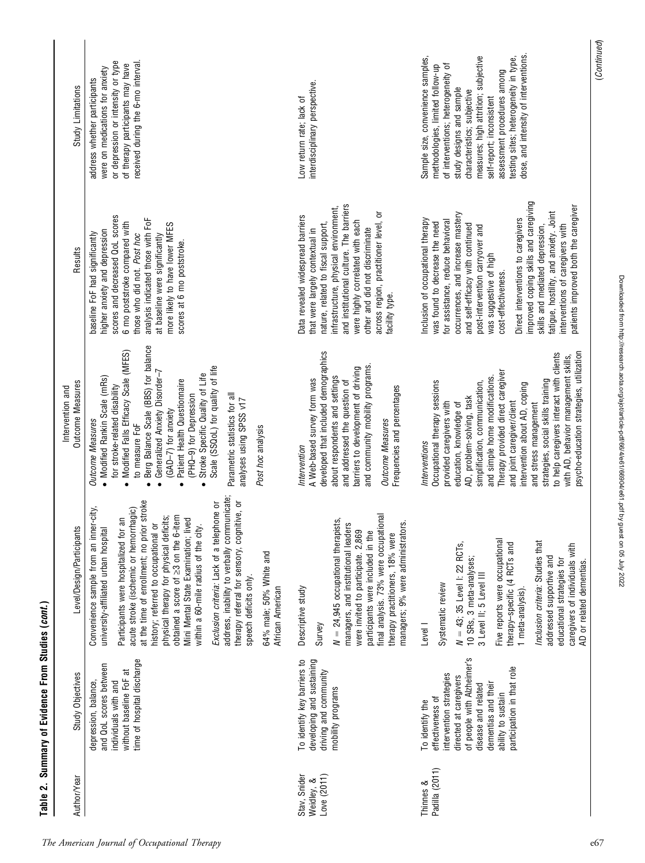| Author/Year                               | Study Objectives                                                                                                                                                                                                         | Level/Design/Participants                                                                                                                                                                                                                                                                                                                                                                                                                                                                                                                                                                                                                             | <b>Outcome Measures</b><br>Intervention and                                                                                                                                                                                                                                                                                                                                                                                                                                                                                 | Results                                                                                                                                                                                                                                                                                                                                                                                                                                                                                                       | Study Limitations                                                                                                                                                                                                                                                                                                                                            |
|-------------------------------------------|--------------------------------------------------------------------------------------------------------------------------------------------------------------------------------------------------------------------------|-------------------------------------------------------------------------------------------------------------------------------------------------------------------------------------------------------------------------------------------------------------------------------------------------------------------------------------------------------------------------------------------------------------------------------------------------------------------------------------------------------------------------------------------------------------------------------------------------------------------------------------------------------|-----------------------------------------------------------------------------------------------------------------------------------------------------------------------------------------------------------------------------------------------------------------------------------------------------------------------------------------------------------------------------------------------------------------------------------------------------------------------------------------------------------------------------|---------------------------------------------------------------------------------------------------------------------------------------------------------------------------------------------------------------------------------------------------------------------------------------------------------------------------------------------------------------------------------------------------------------------------------------------------------------------------------------------------------------|--------------------------------------------------------------------------------------------------------------------------------------------------------------------------------------------------------------------------------------------------------------------------------------------------------------------------------------------------------------|
|                                           | time of hospital discharge<br>and QoL scores between<br>without baseline FoF at<br>depression, balance,<br>individuals with and                                                                                          | address, inability to verbally communicate;<br>· stroke<br>therapy referral for sensory, cognitive, or<br>Exclusion criteria: Lack of a telephone or<br>Convenience sample from an inner-city,<br>acute stroke (ischemic or hemorrhagic)<br>obtained a score of ≥3 on the 6-item<br>physical therapy for physical deficits;<br>Mini Mental State Examination; lived<br>m<br>history; referred to occupational or<br>university-affiliated urban hospital<br>at the time of enrollment; no prior<br>within a 60-mile radius of the city.<br>Participants were hospitalized for<br>64% male; 50% White and<br>speech deficits only.<br>African American | Berg Balance Scale (BBS) for balance<br>Modified Falls Efficacy Scale (MFES)<br>Scale (SSQoL) for quality of life<br>Generalized Anxiety Disorder-7<br>Stroke Specific Quality of Life<br>• Modified Rankin Scale (mRs)<br>Patient Health Questionnaire<br>for stroke-related disability<br>(PHQ-9) for Depression<br>Parametric statistics for all<br>analyses using SPSS v17<br>(GAD-7) for anxiety<br><b>Outcome Measures</b><br>to measure FoF<br>Post hoc analysis<br>$\bullet$<br>$\bullet$<br>$\bullet$<br>$\bullet$ | scores and decreased QoL scores<br>analysis indicated those with FoF<br>6 mo poststroke compared with<br>more likely to have lower MFES<br>higher anxiety and depression<br>baseline FoF had significantly<br>those who did not. Post hoc<br>at baseline were significantly<br>scores at 6 mo poststroke.                                                                                                                                                                                                     | received during the 6-mo interval.<br>or depression or intensity or type<br>of therapy participants may have<br>were on medications for anxiety<br>address whether participants                                                                                                                                                                              |
| Love (2011)<br>Stav, Snider<br>Weidley, & | To identify key barriers to<br>developing and sustaining<br>driving and community<br>mobility programs                                                                                                                   | final analysis. 73% were occupational<br>$N = 24,945$ occupational therapists,<br>managers; 9% were administrators.<br>managers, and institutional leaders<br>were invited to participate. 2,869<br>participants were included in the<br>therapy practitioners, 18% were<br>Descriptive study<br>Survey                                                                                                                                                                                                                                                                                                                                               | developed that included demographics<br>and community mobility programs.<br>barriers to development of driving<br>about respondents and settings<br>A Web-based survey form was<br>and addressed the question of<br>Frequencies and percentages<br><b>Outcome Measures</b><br>Intervention                                                                                                                                                                                                                                  | and institutional culture. The barriers<br>infrastructure, physical environment,<br>across region, practitioner level, or<br>Data revealed widespread barriers<br>were highly correlated with each<br>nature, related to fiscal support,<br>other and did not discriminate<br>that were largely contextual in<br>facility type.                                                                                                                                                                               | interdisciplinary perspective.<br>Low return rate; lack of                                                                                                                                                                                                                                                                                                   |
| Padilla (2011)<br>Thinnes &               | of people with Alzheimer's<br>participation in that role<br>intervention strategies<br>directed at caregivers<br>dementias and their<br>disease and related<br>ability to sustain<br>effectiveness of<br>To identify the | Five reports were occupational<br>Inclusion criteria: Studies that<br>$N = 43$ ; 35 Level I: 22 RCTs,<br>therapy-specific (4 RCTs and<br>caregivers of individuals with<br>addressed supportive and<br>10 SRs, 3 meta-analyses;<br>educational strategies for<br>AD or related dementias.<br>3 Level II; 5 Level III<br>Systematic review<br>1 meta-analysis)<br>Level I                                                                                                                                                                                                                                                                              | psycho-education strategies, utilization<br>to help caregivers interact with clients<br>with AD, behavior management skills,<br>Therapy provided direct caregiver<br>and simple home modifications.<br>strategies, social skills training<br>Occupational therapy sessions<br>simplification, communication,<br>intervention about AD, coping<br>AD, problem-solving, task<br>provided caregivers with<br>and joint caregiver/client<br>education, knowledge of<br>and stress management<br>Interventions                   | improved coping skills and caregiving<br>patients improved both the caregiver<br>fatigue, hostility, and anxiety. Joint<br>occurrences, and increase mastery<br>Direct interventions to caregivers<br>Inclusion of occupational therapy<br>for assistance, reduce behavioral<br>was found to decrease the need<br>and self-efficacy with continued<br>interventions of caregivers with<br>post-intervention carryover and<br>skills and mediated depression,<br>was suggestive of high<br>cost-effectiveness. | dose, and intensity of interventions.<br>measures; high attrition; subjective<br>testing sites; heterogeneity in type,<br>Sample size, convenience samples,<br>of interventions; heterogeneity of<br>methodologies, limited follow-up<br>assessment procedures among<br>study designs and sample<br>characteristics; subjective<br>self-report; inconsistent |
|                                           |                                                                                                                                                                                                                          |                                                                                                                                                                                                                                                                                                                                                                                                                                                                                                                                                                                                                                                       |                                                                                                                                                                                                                                                                                                                                                                                                                                                                                                                             |                                                                                                                                                                                                                                                                                                                                                                                                                                                                                                               | (Continued)                                                                                                                                                                                                                                                                                                                                                  |

The American Journal of Occupational Therapy e67

Downloaded from http://research.aota.org/ajot/article-pdf/66/4/e61/66904/e61.pdf by guest on 05 July 2022

Downloaded from http://research.aota.org/ajot/article-pdf/66/4/e61/66904/e61.pdf by guest on 05 July 2022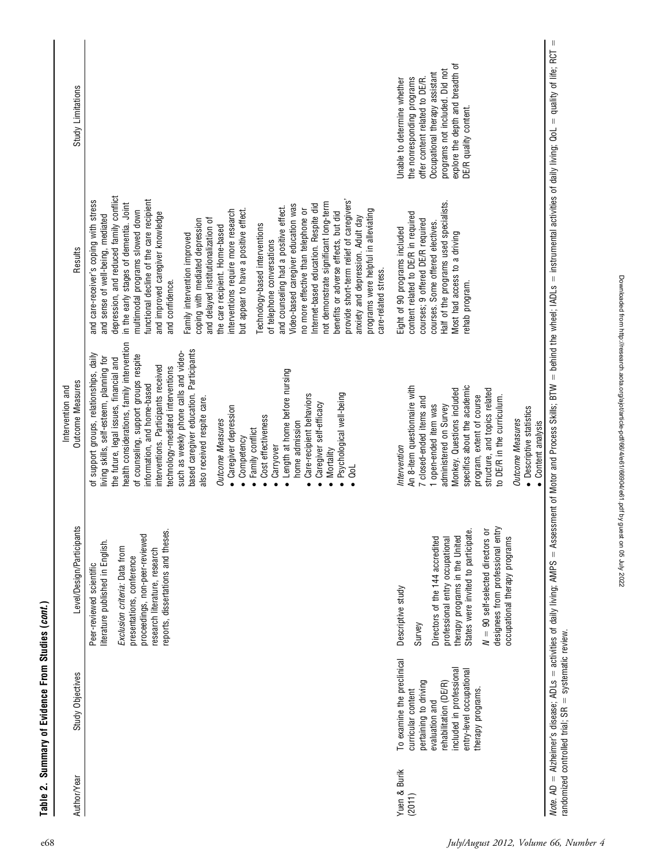| Author/Year  | Study Objectives                                                                                                                                                                                  | Level/Design/Participants                                                                                                                                                                                                                                                              | Outcome Measures<br>Intervention and                                                                                                                                                                                                                                                                                                                                                                                                                                                                                                                                                                                                                                                                                                             | Results                                                                                                                                                                                                                                                                                                                                                                                                                                                                                                                                                                                                                                                                                                                                                                                                                                                                                                                                                                                              | Study Limitations                                                                                                                                                                                                            |
|--------------|---------------------------------------------------------------------------------------------------------------------------------------------------------------------------------------------------|----------------------------------------------------------------------------------------------------------------------------------------------------------------------------------------------------------------------------------------------------------------------------------------|--------------------------------------------------------------------------------------------------------------------------------------------------------------------------------------------------------------------------------------------------------------------------------------------------------------------------------------------------------------------------------------------------------------------------------------------------------------------------------------------------------------------------------------------------------------------------------------------------------------------------------------------------------------------------------------------------------------------------------------------------|------------------------------------------------------------------------------------------------------------------------------------------------------------------------------------------------------------------------------------------------------------------------------------------------------------------------------------------------------------------------------------------------------------------------------------------------------------------------------------------------------------------------------------------------------------------------------------------------------------------------------------------------------------------------------------------------------------------------------------------------------------------------------------------------------------------------------------------------------------------------------------------------------------------------------------------------------------------------------------------------------|------------------------------------------------------------------------------------------------------------------------------------------------------------------------------------------------------------------------------|
|              |                                                                                                                                                                                                   | reports, dissertations and theses.<br>proceedings, non-peer-reviewed<br>literature published in English.<br>Exclusion criteria: Data from<br>research literature, research<br>presentations, conference<br>Peer-reviewed scientific                                                    | health considerations, family intervention<br>based caregiver education. Participants<br>such as weekly phone calls and video-<br>of support groups, relationships, daily<br>of counseling, support groups respite<br>living skills, self-esteem, planning for<br>the future, legal issues, financial and<br>interventions. Participants received<br>technology-mediated interventions<br>Length at home before nursing<br>information, and home-based<br>Psychological well-being<br>Care-recipient behaviors<br>also received respite care.<br>Caregiver self-efficacy<br>Caregiver depression<br>Cost effectiveness<br><b>Outcome Measures</b><br>home admission<br>Family conflict<br>Competency<br>Carryover<br>Mortality<br>ē<br>$\bullet$ | depression, and reduced family conflict<br>functional decline of the care recipient<br>provide short-term relief of caregivers'<br>and care-receiver's coping with stress<br>in the early stages of dementia. Joint<br>not demonstrate significant long-term<br>Video-based caregiver education was<br>Internet-based education. Respite did<br>and counseling had a positive effect.<br>but appear to have a positive effect.<br>multimodal programs slowed down<br>interventions require more research<br>no more effective than telephone or<br>programs were helpful in alleviating<br>benefits or adverse effects, but did<br>and improved caregiver knowledge<br>and sense of well-being, mediated<br>anxiety and depression. Adult day<br>and delayed institutionalization of<br>coping with mediated depression<br>Technology-based interventions<br>the care recipient. Home-based<br>Family intervention improved<br>of telephone conversations<br>care-related stress.<br>and confidence. |                                                                                                                                                                                                                              |
| Yuen & Burik | To examine the preclinical<br>included in professional<br>entry-level occupational<br>pertaining to driving<br>rehabilitation (DE/R)<br>therapy programs.<br>curricular content<br>evaluation and | States were invited to participate.<br>$N = 90$ self-selected directors or<br>designees from professional entr<br>therapy programs in the United<br>Directors of the 144 accredited<br>occupational therapy programs<br>professional entry occupational<br>Descriptive study<br>Survey | specifics about the academic<br>An 8-item questionnaire with<br>Monkey. Questions included<br>structure, and topics related<br>program, extent of course<br>7 closed-ended items and<br>to DE/R in the curriculum.<br>1 open-ended item was<br>administered on Survey<br>• Descriptive statistics<br>Outcome Measures<br>Content analysis<br>Intervention                                                                                                                                                                                                                                                                                                                                                                                        | Half of the programs used specialists.<br>content related to DE/R in required<br>courses; 9 offered DE/R required<br>courses. Some offered electives.<br>Eight of 90 programs included<br>Most had access to a driving<br>ehab program.                                                                                                                                                                                                                                                                                                                                                                                                                                                                                                                                                                                                                                                                                                                                                              | explore the depth and breadth of<br>programs not included. Did not<br>Occupational therapy assistant<br>the nonresponding programs<br>offer content related to DE/R.<br>Unable to determine whether<br>DE/R quality content. |

Note. AD

Alzheimer's disease; ADLs

randomized controlled trial; SR

systematic review.

activities of daily living; AMPS

Assessment of Motor and Process Skills; BTW

behind the wheel; IADLs

instrumental activities of daily living; QoL

quality of life; RCT

5

Table 2. Summary of Evidence From Studies (cont.)

Table 2. Summary of Evidence From Studies (cont.)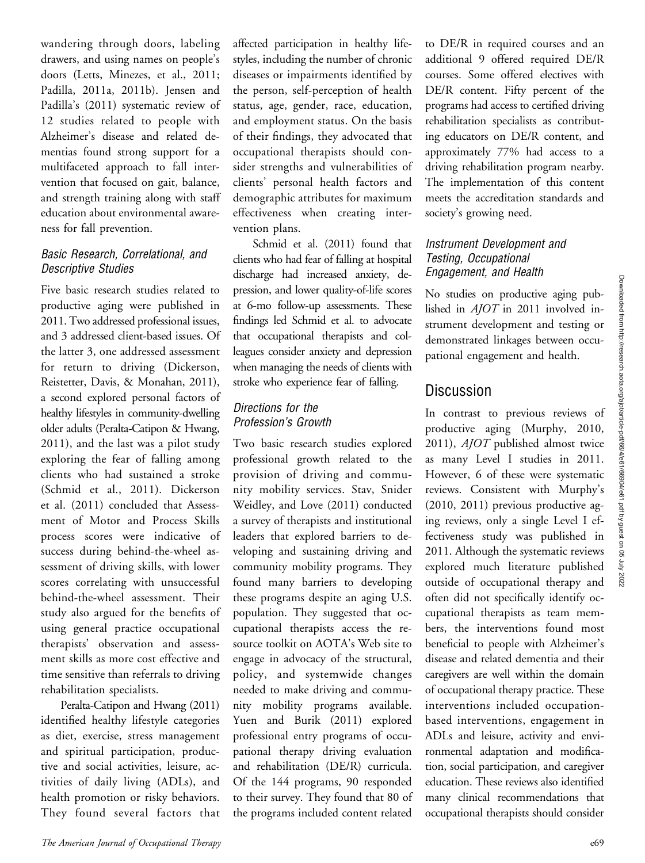wandering through doors, labeling drawers, and using names on people's doors (Letts, Minezes, et al., 2011; Padilla, 2011a, 2011b). Jensen and Padilla's (2011) systematic review of 12 studies related to people with Alzheimer's disease and related dementias found strong support for a multifaceted approach to fall intervention that focused on gait, balance, and strength training along with staff education about environmental awareness for fall prevention.

#### Basic Research, Correlational, and Descriptive Studies

Five basic research studies related to productive aging were published in 2011. Two addressed professional issues, and 3 addressed client-based issues. Of the latter 3, one addressed assessment for return to driving (Dickerson, Reistetter, Davis, & Monahan, 2011), a second explored personal factors of healthy lifestyles in community-dwelling older adults (Peralta-Catipon & Hwang, 2011), and the last was a pilot study exploring the fear of falling among clients who had sustained a stroke (Schmid et al., 2011). Dickerson et al. (2011) concluded that Assessment of Motor and Process Skills process scores were indicative of success during behind-the-wheel assessment of driving skills, with lower scores correlating with unsuccessful behind-the-wheel assessment. Their study also argued for the benefits of using general practice occupational therapists' observation and assessment skills as more cost effective and time sensitive than referrals to driving rehabilitation specialists.

Peralta-Catipon and Hwang (2011) identified healthy lifestyle categories as diet, exercise, stress management and spiritual participation, productive and social activities, leisure, activities of daily living (ADLs), and health promotion or risky behaviors. They found several factors that affected participation in healthy lifestyles, including the number of chronic diseases or impairments identified by the person, self-perception of health status, age, gender, race, education, and employment status. On the basis of their findings, they advocated that occupational therapists should consider strengths and vulnerabilities of clients' personal health factors and demographic attributes for maximum effectiveness when creating intervention plans.

Schmid et al. (2011) found that clients who had fear of falling at hospital discharge had increased anxiety, depression, and lower quality-of-life scores at 6-mo follow-up assessments. These findings led Schmid et al. to advocate that occupational therapists and colleagues consider anxiety and depression when managing the needs of clients with stroke who experience fear of falling.

#### Directions for the Profession's Growth

Two basic research studies explored professional growth related to the provision of driving and community mobility services. Stav, Snider Weidley, and Love (2011) conducted a survey of therapists and institutional leaders that explored barriers to developing and sustaining driving and community mobility programs. They found many barriers to developing these programs despite an aging U.S. population. They suggested that occupational therapists access the resource toolkit on AOTA's Web site to engage in advocacy of the structural, policy, and systemwide changes needed to make driving and community mobility programs available. Yuen and Burik (2011) explored professional entry programs of occupational therapy driving evaluation and rehabilitation (DE/R) curricula. Of the 144 programs, 90 responded to their survey. They found that 80 of the programs included content related

to DE/R in required courses and an additional 9 offered required DE/R courses. Some offered electives with DE/R content. Fifty percent of the programs had access to certified driving rehabilitation specialists as contributing educators on DE/R content, and approximately 77% had access to a driving rehabilitation program nearby. The implementation of this content meets the accreditation standards and society's growing need.

#### Instrument Development and Testing, Occupational Engagement, and Health

No studies on productive aging published in AJOT in 2011 involved instrument development and testing or demonstrated linkages between occupational engagement and health.

## **Discussion**

In contrast to previous reviews of productive aging (Murphy, 2010, 2011), AJOT published almost twice as many Level I studies in 2011. However, 6 of these were systematic reviews. Consistent with Murphy's (2010, 2011) previous productive aging reviews, only a single Level I effectiveness study was published in 2011. Although the systematic reviews explored much literature published outside of occupational therapy and often did not specifically identify occupational therapists as team members, the interventions found most beneficial to people with Alzheimer's disease and related dementia and their caregivers are well within the domain of occupational therapy practice. These interventions included occupationbased interventions, engagement in ADLs and leisure, activity and environmental adaptation and modification, social participation, and caregiver education. These reviews also identified many clinical recommendations that occupational therapists should consider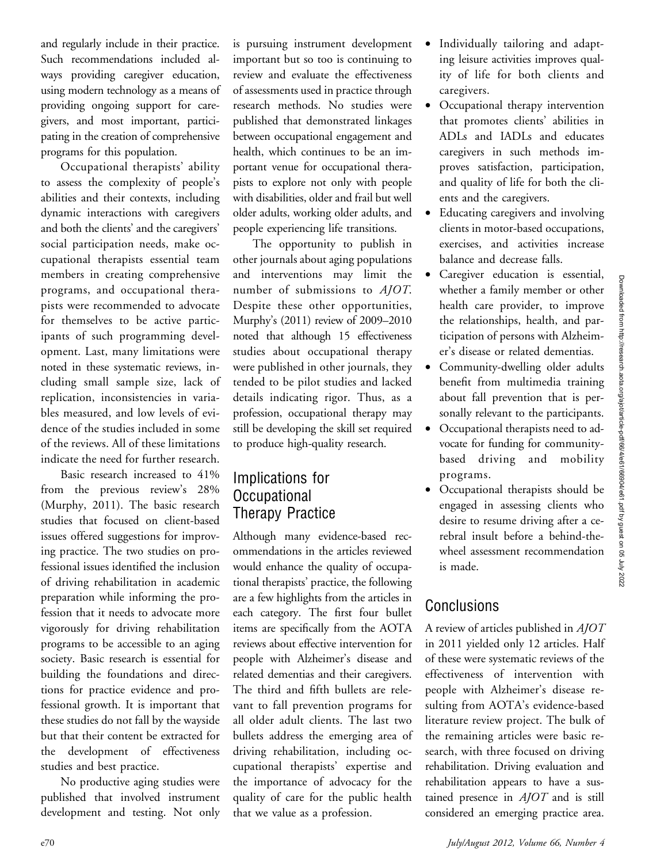and regularly include in their practice. Such recommendations included always providing caregiver education, using modern technology as a means of providing ongoing support for caregivers, and most important, participating in the creation of comprehensive programs for this population.

Occupational therapists' ability to assess the complexity of people's abilities and their contexts, including dynamic interactions with caregivers and both the clients' and the caregivers' social participation needs, make occupational therapists essential team members in creating comprehensive programs, and occupational therapists were recommended to advocate for themselves to be active participants of such programming development. Last, many limitations were noted in these systematic reviews, including small sample size, lack of replication, inconsistencies in variables measured, and low levels of evidence of the studies included in some of the reviews. All of these limitations indicate the need for further research.

Basic research increased to 41% from the previous review's 28% (Murphy, 2011). The basic research studies that focused on client-based issues offered suggestions for improving practice. The two studies on professional issues identified the inclusion of driving rehabilitation in academic preparation while informing the profession that it needs to advocate more vigorously for driving rehabilitation programs to be accessible to an aging society. Basic research is essential for building the foundations and directions for practice evidence and professional growth. It is important that these studies do not fall by the wayside but that their content be extracted for the development of effectiveness studies and best practice.

No productive aging studies were published that involved instrument development and testing. Not only is pursuing instrument development important but so too is continuing to review and evaluate the effectiveness of assessments used in practice through research methods. No studies were published that demonstrated linkages between occupational engagement and health, which continues to be an important venue for occupational therapists to explore not only with people with disabilities, older and frail but well older adults, working older adults, and people experiencing life transitions.

The opportunity to publish in other journals about aging populations and interventions may limit the number of submissions to AJOT. Despite these other opportunities, Murphy's (2011) review of 2009–2010 noted that although 15 effectiveness studies about occupational therapy were published in other journals, they tended to be pilot studies and lacked details indicating rigor. Thus, as a profession, occupational therapy may still be developing the skill set required to produce high-quality research.

## Implications for Occupational Therapy Practice

Although many evidence-based recommendations in the articles reviewed would enhance the quality of occupational therapists' practice, the following are a few highlights from the articles in each category. The first four bullet items are specifically from the AOTA reviews about effective intervention for people with Alzheimer's disease and related dementias and their caregivers. The third and fifth bullets are relevant to fall prevention programs for all older adult clients. The last two bullets address the emerging area of driving rehabilitation, including occupational therapists' expertise and the importance of advocacy for the quality of care for the public health that we value as a profession.

- Individually tailoring and adapting leisure activities improves quality of life for both clients and caregivers.
- Occupational therapy intervention that promotes clients' abilities in ADLs and IADLs and educates caregivers in such methods improves satisfaction, participation, and quality of life for both the clients and the caregivers.
- Educating caregivers and involving clients in motor-based occupations, exercises, and activities increase balance and decrease falls.
- Caregiver education is essential, whether a family member or other health care provider, to improve the relationships, health, and participation of persons with Alzheimer's disease or related dementias.
- Community-dwelling older adults benefit from multimedia training about fall prevention that is personally relevant to the participants.
- Occupational therapists need to advocate for funding for communitybased driving and mobility programs.
- Occupational therapists should be engaged in assessing clients who desire to resume driving after a cerebral insult before a behind-thewheel assessment recommendation is made.

## **Conclusions**

A review of articles published in AJOT in 2011 yielded only 12 articles. Half of these were systematic reviews of the effectiveness of intervention with people with Alzheimer's disease resulting from AOTA's evidence-based literature review project. The bulk of the remaining articles were basic research, with three focused on driving rehabilitation. Driving evaluation and rehabilitation appears to have a sustained presence in  $A$ *JOT* and is still considered an emerging practice area.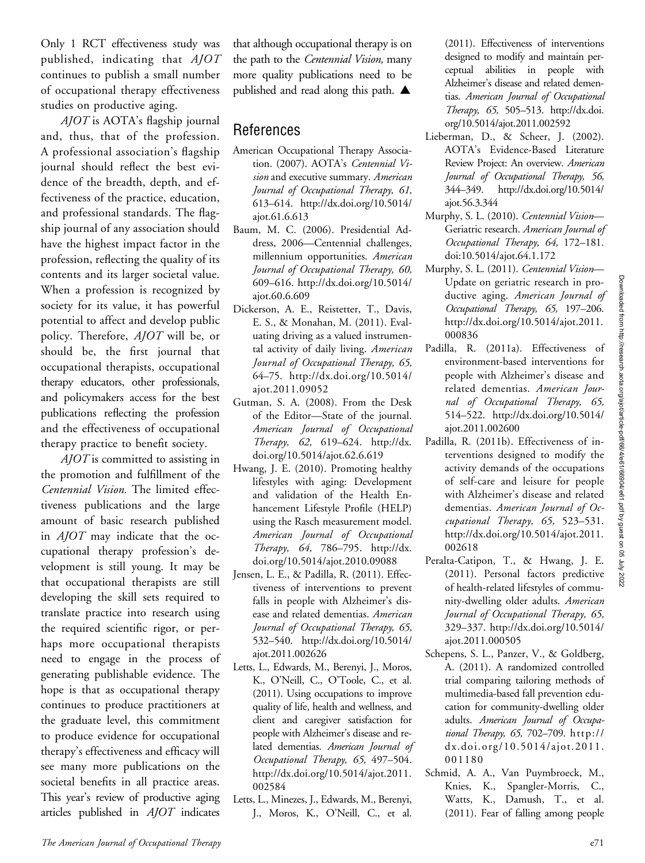Only 1 RCT effectiveness study was published, indicating that AJOT continues to publish a small number of occupational therapy effectiveness studies on productive aging.

AJOT is AOTA's flagship journal and, thus, that of the profession. A professional association's flagship journal should reflect the best evidence of the breadth, depth, and effectiveness of the practice, education, and professional standards. The flagship journal of any association should have the highest impact factor in the profession, reflecting the quality of its contents and its larger societal value. When a profession is recognized by society for its value, it has powerful potential to affect and develop public policy. Therefore, AJOT will be, or should be, the first journal that occupational therapists, occupational therapy educators, other professionals, and policymakers access for the best publications reflecting the profession and the effectiveness of occupational therapy practice to benefit society.

AJOT is committed to assisting in the promotion and fulfillment of the Centennial Vision. The limited effectiveness publications and the large amount of basic research published in  $A$ *JOT* may indicate that the occupational therapy profession's development is still young. It may be that occupational therapists are still developing the skill sets required to translate practice into research using the required scientific rigor, or perhaps more occupational therapists need to engage in the process of generating publishable evidence. The hope is that as occupational therapy continues to produce practitioners at the graduate level, this commitment to produce evidence for occupational therapy's effectiveness and efficacy will see many more publications on the societal benefits in all practice areas. This year's review of productive aging articles published in AJOT indicates

that although occupational therapy is on the path to the Centennial Vision, many more quality publications need to be published and read along this path.  $\blacktriangle$ 

## References

- American Occupational Therapy Association. (2007). AOTA's Centennial Vision and executive summary. American<br>Journal of Occupational Therapy, 61, Journal of Occupational Therapy, 61, 613–614. http://dx.doi.org/10.5014/ ajot.61.6.613
- Baum, M. C. (2006). Presidential Address, 2006—Centennial challenges, millennium opportunities. American<br>Journal of Occupational Therapy, 60, )<br>609–616. http://dx.doi.org/10.5014/ ajot.60.6.609
- Dickerson, A. E., Reistetter, T., Davis, E. S., & Monahan, M. (2011). Evaluating driving as a valued instrumental activity of daily living. American<br>Journal of Occupational Therapy, 65,  $64-75.$  http://dx.doi.org/10.5014/ ajot.2011.09052
- Gutman, S. A. (2008). From the Desk of the Editor—State of the journal.  $Therapy, 62, 619–624. <http://dx.doi.org/10.5014/aiot 62.6.619>$ doi.org/10.5014/ajot.62.6.619
- Hwang, J. E. (2010). Promoting healthy lifestyles with aging: Development and validation of the Health Enhancement Lifestyle Profile (HELP) using the Rasch measurement model.  $The map, 64, 786–795. <http://dx.doi.org/10.5014/aiot.2010.09088>$ doi.org/10.5014/ajot.2010.09088
- Jensen, L. E., & Padilla, R. (2011). Effectiveness of interventions to prevent falls in people with Alzheimer's disease and related dementias. American<br>Journal of Occupational Therapy, 65,  $532-540.$  http://dx.doi.org/10.5014/ ajot.2011.002626
- Letts, L., Edwards, M., Berenyi, J., Moros, K., O'Neill, C., O'Toole, C., et al. (2011). Using occupations to improve quality of life, health and wellness, and client and caregiver satisfaction for people with Alzheimer's disease and related dementias. American Journal of Occupational Therapy, 65, 497–504. http://dx.doi.org/10.5014/ajot.2011. 002584
- Letts, L., Minezes, J., Edwards, M., Berenyi, J., Moros, K., O'Neill, C., et al.

(2011). Effectiveness of interventions designed to modify and maintain perceptual abilities in people with Alzheimer's disease and related dementias. American Journal of Occupational Therapy, 65, 505–513. http://dx.doi. org/10.5014/ajot.2011.002592

- Lieberman, D., & Scheer, J. (2002). AOTA's Evidence-Based Literature Review Project: An overview. American<br>Journal of Occupational Therapy, 56,  $344-349.$  http://dx.doi.org/10.5014/ ajot.56.3.344
- Murphy, S. L. (2010). Centennial Vision— Geriatric research. American Journal of Occupational Therapy, 64, 172–181. doi:10.5014/ajot.64.1.172
- Murphy, S. L. (2011). Centennial Vision-Update on geriatric research in productive aging. American Journal of Occupational Therapy, 65, 197–206. http://dx.doi.org/10.5014/ajot.2011. 000836
- Padilla, R. (2011a). Effectiveness of environment-based interventions for people with Alzheimer's disease and related dementias. American Jour-<br>nal of Occupational Therapy, 65,  $514-522.$  http://dx.doi.org/10.5014/ ajot.2011.002600
- Padilla, R. (2011b). Effectiveness of interventions designed to modify the activity demands of the occupations of self-care and leisure for people with Alzheimer's disease and related dementias. American Journal of Occupational Therapy, 65, 523–531. http://dx.doi.org/10.5014/ajot.2011. 002618
- Peralta-Catipon, T., & Hwang, J. E. (2011). Personal factors predictive of health-related lifestyles of community-dwelling older adults. American<br>Journal of Occupational Therapy, 65, Journal of Occupational Therapy, 65, 329–337. http://dx.doi.org/10.5014/ ajot.2011.000505
- Schepens, S. L., Panzer, V., & Goldberg, A. (2011). A randomized controlled trial comparing tailoring methods of multimedia-based fall prevention education for community-dwelling older adults. American Journal of Occupational Therapy, 65, 702-709.  $h$ ttp:// dx.doi.org/10.5014/ajot.2011. 001180
- Schmid, A. A., Van Puymbroeck, M., Knies, K., Spangler-Morris, C., Watts, K., Damush, T., et al. (2011). Fear of falling among people